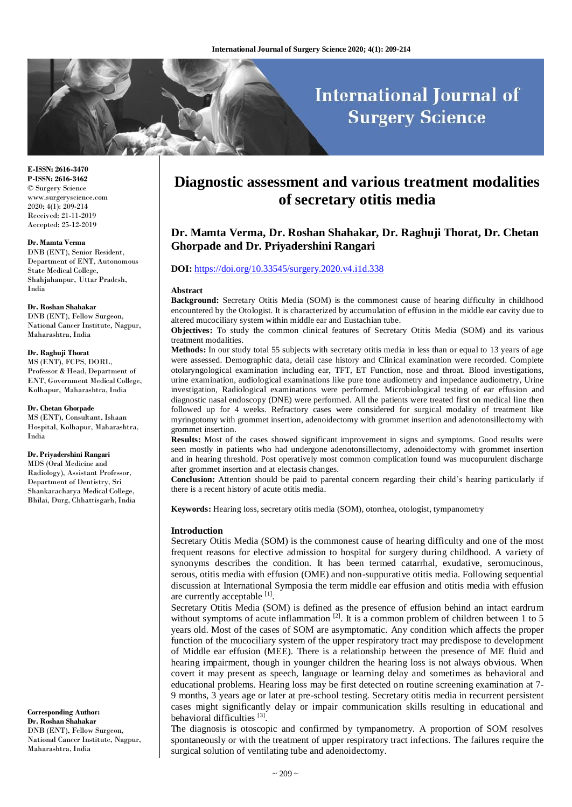# **International Journal of Surgery Science**

**E-ISSN: 2616-3470 P-ISSN: 2616-3462** © Surgery Science www.surgeryscience.com 2020; 4(1): 209-214 Received: 21-11-2019 Accepted: 25-12-2019

#### **Dr. Mamta Verma**

DNB (ENT), Senior Resident, Department of ENT, Autonomous State Medical College, Shahjahanpur, Uttar Pradesh, India

#### **Dr. Roshan Shahakar**

DNB (ENT), Fellow Surgeon, National Cancer Institute, Nagpur, Maharashtra, India

## **Dr. Raghuji Thorat**

MS (ENT), FCPS, DORL, Professor & Head, Department of ENT, Government Medical College, Kolhapur, Maharashtra, India

**Dr. Chetan Ghorpade** MS (ENT), Consultant, Ishaan Hospital, Kolhapur, Maharashtra, India

#### **Dr. Priyadershini Rangari**

MDS (Oral Medicine and Radiology), Assistant Professor, Department of Dentistry, Sri Shankaracharya Medical College, Bhilai, Durg, Chhattisgarh, India

**Corresponding Author: Dr. Roshan Shahakar** DNB (ENT), Fellow Surgeon, National Cancer Institute, Nagpur, Maharashtra, India

## **Diagnostic assessment and various treatment modalities of secretary otitis media**

## **Dr. Mamta Verma, Dr. Roshan Shahakar, Dr. Raghuji Thorat, Dr. Chetan Ghorpade and Dr. Priyadershini Rangari**

## **DOI:** <https://doi.org/10.33545/surgery.2020.v4.i1d.338>

#### **Abstract**

**Background:** Secretary Otitis Media (SOM) is the commonest cause of hearing difficulty in childhood encountered by the Otologist. It is characterized by accumulation of effusion in the middle ear cavity due to altered mucociliary system within middle ear and Eustachian tube.

**Objectives:** To study the common clinical features of Secretary Otitis Media (SOM) and its various treatment modalities.

**Methods:** In our study total 55 subjects with secretary otitis media in less than or equal to 13 years of age were assessed. Demographic data, detail case history and Clinical examination were recorded. Complete otolaryngological examination including ear, TFT, ET Function, nose and throat. Blood investigations, urine examination, audiological examinations like pure tone audiometry and impedance audiometry, Urine investigation, Radiological examinations were performed. Microbiological testing of ear effusion and diagnostic nasal endoscopy (DNE) were performed. All the patients were treated first on medical line then followed up for 4 weeks. Refractory cases were considered for surgical modality of treatment like myringotomy with grommet insertion, adenoidectomy with grommet insertion and adenotonsillectomy with grommet insertion.

**Results:** Most of the cases showed significant improvement in signs and symptoms. Good results were seen mostly in patients who had undergone adenotonsillectomy, adenoidectomy with grommet insertion and in hearing threshold. Post operatively most common complication found was mucopurulent discharge after grommet insertion and at electasis changes.

**Conclusion:** Attention should be paid to parental concern regarding their child's hearing particularly if there is a recent history of acute otitis media.

**Keywords:** Hearing loss, secretary otitis media (SOM), otorrhea, otologist, tympanometry

#### **Introduction**

Secretary Otitis Media (SOM) is the commonest cause of hearing difficulty and one of the most frequent reasons for elective admission to hospital for surgery during childhood. A variety of synonyms describes the condition. It has been termed catarrhal, exudative, seromucinous, serous, otitis media with effusion (OME) and non-suppurative otitis media. Following sequential discussion at International Symposia the term middle ear effusion and otitis media with effusion are currently acceptable [1].

Secretary Otitis Media (SOM) is defined as the presence of effusion behind an intact eardrum without symptoms of acute inflammation  $[2]$ . It is a common problem of children between 1 to 5 years old. Most of the cases of SOM are asymptomatic. Any condition which affects the proper function of the mucociliary system of the upper respiratory tract may predispose to development of Middle ear effusion (MEE). There is a relationship between the presence of ME fluid and hearing impairment, though in younger children the hearing loss is not always obvious. When covert it may present as speech, language or learning delay and sometimes as behavioral and educational problems. Hearing loss may be first detected on routine screening examination at 7- 9 months, 3 years age or later at pre-school testing. Secretary otitis media in recurrent persistent cases might significantly delay or impair communication skills resulting in educational and behavioral difficulties [3].

The diagnosis is otoscopic and confirmed by tympanometry. A proportion of SOM resolves spontaneously or with the treatment of upper respiratory tract infections. The failures require the surgical solution of ventilating tube and adenoidectomy.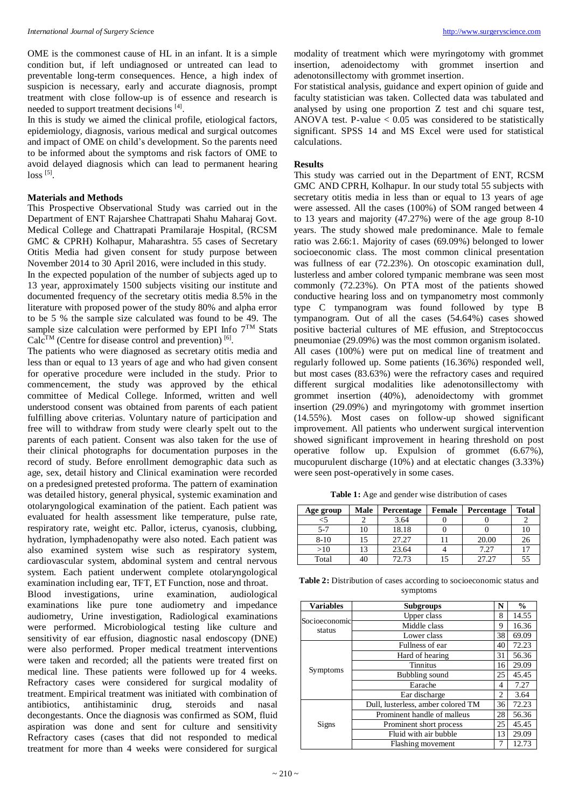OME is the commonest cause of HL in an infant. It is a simple condition but, if left undiagnosed or untreated can lead to preventable long-term consequences. Hence, a high index of suspicion is necessary, early and accurate diagnosis, prompt treatment with close follow-up is of essence and research is needed to support treatment decisions [4].

In this is study we aimed the clinical profile, etiological factors, epidemiology, diagnosis, various medical and surgical outcomes and impact of OME on child's development. So the parents need to be informed about the symptoms and risk factors of OME to avoid delayed diagnosis which can lead to permanent hearing loss <sup>[5]</sup>.

## **Materials and Methods**

This Prospective Observational Study was carried out in the Department of ENT Rajarshee Chattrapati Shahu Maharaj Govt. Medical College and Chattrapati Pramilaraje Hospital, (RCSM GMC & CPRH) Kolhapur, Maharashtra. 55 cases of Secretary Otitis Media had given consent for study purpose between November 2014 to 30 April 2016, were included in this study.

In the expected population of the number of subjects aged up to 13 year, approximately 1500 subjects visiting our institute and documented frequency of the secretary otitis media 8.5% in the literature with proposed power of the study 80% and alpha error to be 5 % the sample size calculated was found to be 49. The sample size calculation were performed by EPI Info  $7<sup>TM</sup>$  Stats  $Calc^{TM}$  (Centre for disease control and prevention) [6].

The patients who were diagnosed as secretary otitis media and less than or equal to 13 years of age and who had given consent for operative procedure were included in the study. Prior to commencement, the study was approved by the ethical committee of Medical College. Informed, written and well understood consent was obtained from parents of each patient fulfilling above criterias. Voluntary nature of participation and free will to withdraw from study were clearly spelt out to the parents of each patient. Consent was also taken for the use of their clinical photographs for documentation purposes in the record of study. Before enrollment demographic data such as age, sex, detail history and Clinical examination were recorded on a predesigned pretested proforma. The pattern of examination was detailed history, general physical, systemic examination and otolaryngological examination of the patient. Each patient was evaluated for health assessment like temperature, pulse rate, respiratory rate, weight etc. Pallor, icterus, cyanosis, clubbing, hydration, lymphadenopathy were also noted. Each patient was also examined system wise such as respiratory system, cardiovascular system, abdominal system and central nervous system. Each patient underwent complete otolaryngological examination including ear, TFT, ET Function, nose and throat.

Blood investigations, urine examination, audiological examinations like pure tone audiometry and impedance audiometry, Urine investigation, Radiological examinations were performed. Microbiological testing like culture and sensitivity of ear effusion, diagnostic nasal endoscopy (DNE) were also performed. Proper medical treatment interventions were taken and recorded; all the patients were treated first on medical line. These patients were followed up for 4 weeks. Refractory cases were considered for surgical modality of treatment. Empirical treatment was initiated with combination of antibiotics, antihistaminic drug, steroids and nasal decongestants. Once the diagnosis was confirmed as SOM, fluid aspiration was done and sent for culture and sensitivity Refractory cases (cases that did not responded to medical treatment for more than 4 weeks were considered for surgical

modality of treatment which were myringotomy with grommet insertion, adenoidectomy with grommet insertion and adenotonsillectomy with grommet insertion.

For statistical analysis, guidance and expert opinion of guide and faculty statistician was taken. Collected data was tabulated and analysed by using one proportion Z test and chi square test, ANOVA test. P-value  $< 0.05$  was considered to be statistically significant. SPSS 14 and MS Excel were used for statistical calculations.

## **Results**

This study was carried out in the Department of ENT, RCSM GMC AND CPRH, Kolhapur. In our study total 55 subjects with secretary otitis media in less than or equal to 13 years of age were assessed. All the cases (100%) of SOM ranged between 4 to 13 years and majority (47.27%) were of the age group 8-10 years. The study showed male predominance. Male to female ratio was 2.66:1. Majority of cases (69.09%) belonged to lower socioeconomic class. The most common clinical presentation was fullness of ear (72.23%). On otoscopic examination dull, lusterless and amber colored tympanic membrane was seen most commonly (72.23%). On PTA most of the patients showed conductive hearing loss and on tympanometry most commonly type C tympanogram was found followed by type B tympanogram. Out of all the cases (54.64%) cases showed positive bacterial cultures of ME effusion, and Streptococcus pneumoniae (29.09%) was the most common organism isolated. All cases (100%) were put on medical line of treatment and regularly followed up. Some patients (16.36%) responded well, but most cases (83.63%) were the refractory cases and required different surgical modalities like adenotonsillectomy with grommet insertion (40%), adenoidectomy with grommet insertion (29.09%) and myringotomy with grommet insertion (14.55%). Most cases on follow-up showed significant improvement. All patients who underwent surgical intervention showed significant improvement in hearing threshold on post operative follow up. Expulsion of grommet (6.67%), mucopurulent discharge (10%) and at electatic changes (3.33%) were seen post-operatively in some cases.

**Table 1:** Age and gender wise distribution of cases

| Age group | Male | Percentage | Female | <b>Percentage</b> | <b>Total</b> |
|-----------|------|------------|--------|-------------------|--------------|
|           |      | 3.64       |        |                   |              |
| $5 - 7$   | 10   | 18.18      |        |                   | 10           |
| $8 - 10$  | 15   | 27.27      |        | 20.00             | 26           |
| >10       | 13   | 23.64      |        | 7.27              | 17           |
| Total     | 40   | 72.73      |        | 27.27             | 55           |

**Table 2:** Distribution of cases according to socioeconomic status and symptoms

| <b>Variables</b> | <b>Subgroups</b>                   | N              | $\frac{0}{0}$ |
|------------------|------------------------------------|----------------|---------------|
| Socioeconomic    | Upper class                        |                | 14.55         |
|                  | Middle class                       |                | 16.36         |
| status           | Lower class                        | 38             | 69.09         |
|                  | Fullness of ear                    | 40             | 72.23         |
|                  | Hard of hearing                    | 31             | 56.36         |
| <b>Symptoms</b>  | <b>Tinnitus</b>                    |                | 29.09         |
|                  | Bubbling sound                     |                | 45.45         |
|                  | Earache                            |                | 7.27          |
|                  | Ear discharge                      | $\mathfrak{D}$ | 3.64          |
| Signs            | Dull, lusterless, amber colored TM | 36             | 72.23         |
|                  | Prominent handle of malleus        |                | 56.36         |
|                  | Prominent short process            |                | 45.45         |
|                  | Fluid with air bubble              |                | 29.09         |
|                  | Flashing movement                  |                | 12.73         |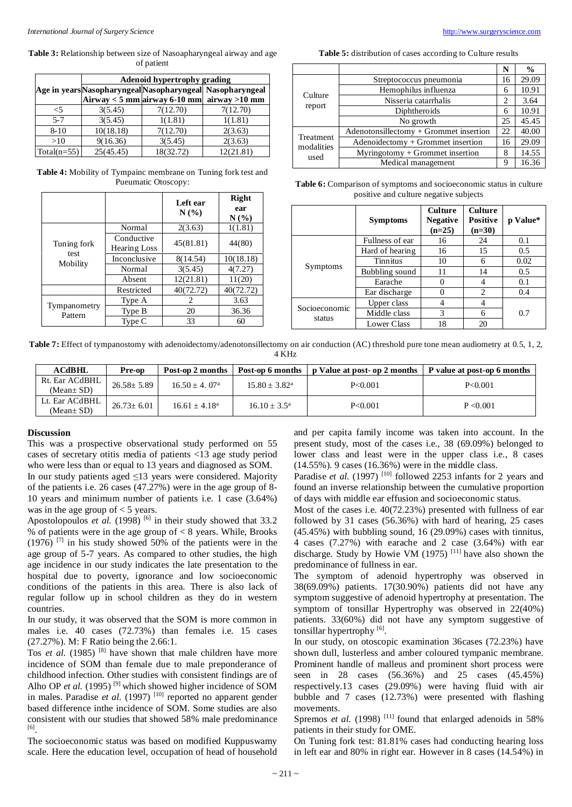**Table 3:** Relationship between size of Nasoapharyngeal airway and age of patient

|               | <b>Adenoid hypertrophy grading</b> |           |                                                           |  |
|---------------|------------------------------------|-----------|-----------------------------------------------------------|--|
|               |                                    |           | Age in years Nasopharyngeal Nasopharyngeal Nasopharyngeal |  |
|               |                                    |           | Airway $<$ 5 mm airway 6-10 mm airway >10 mm              |  |
| -5            | 3(5.45)                            | 7(12.70)  | 7(12.70)                                                  |  |
| $5 - 7$       | 3(5.45)                            | 1(1.81)   | 1(1.81)                                                   |  |
| $8 - 10$      | 10(18.18)                          | 7(12.70)  | 2(3.63)                                                   |  |
| >10           | 9(16.36)                           | 3(5.45)   | 2(3.63)                                                   |  |
| $Total(n=55)$ | 25(45.45)                          | 18(32.72) | 12(21.81)                                                 |  |

**Table 4:** Mobility of Tympainc membrane on Tuning fork test and Pueumatic Otoscopy:

|                         |                                                | Left ear<br>N(% | <b>Right</b><br>ear<br>$N(\%)$ |
|-------------------------|------------------------------------------------|-----------------|--------------------------------|
|                         | Normal                                         | 2(3.63)         | 1(1.81)                        |
| Tuning fork             | Conductive<br>45(81.81)<br><b>Hearing Loss</b> |                 | 44(80)                         |
| test<br>Mobility        | Inconclusive                                   | 8(14.54)        | 10(18.18)                      |
|                         | Normal                                         | 3(5.45)         | 4(7.27)                        |
|                         | Absent                                         | 12(21.81)       | 11(20)                         |
|                         | Restricted                                     | 40(72.72)       | 40(72.72)                      |
|                         | Type A                                         | 2               | 3.63                           |
| Tympanometry<br>Pattern | Type B                                         | 20              | 36.36                          |
|                         | Type C                                         | 33              | 60                             |

**Table 5:** distribution of cases according to Culture results

|                                 |                                        | N  | $\frac{0}{0}$ |
|---------------------------------|----------------------------------------|----|---------------|
| Culture<br>report               | Streptococcus pneumonia                | 16 | 29.09         |
|                                 | Hemophilus influenza                   |    | 10.91         |
|                                 | Nisseria catarrhalis                   | 2  | 3.64          |
|                                 | Diphtheroids                           |    | 10.91         |
|                                 | No growth                              | 25 | 45.45         |
|                                 | Adenotonsillectomy + Grommet insertion | 22 | 40.00         |
| Treatment<br>modalities<br>used | Adenoidectomy + Grommet insertion      | 16 | 29.09         |
|                                 | $Myringotomy + Grommet insertion$      | 8  | 14.55         |
|                                 | Medical management                     | 9  | 16.36         |

**Table 6:** Comparison of symptoms and socioeconomic status in culture positive and culture negative subjects

|                         | <b>Symptoms</b>    | Culture<br><b>Negative</b><br>$(n=25)$ | <b>Culture</b><br><b>Positive</b><br>$(n=30)$ | p Value* |
|-------------------------|--------------------|----------------------------------------|-----------------------------------------------|----------|
|                         | Fullness of ear    | 16                                     | 24                                            | 0.1      |
|                         | Hard of hearing    | 16                                     | 15                                            | 0.5      |
| Symptoms                | Tinnitus           | 10                                     | 6                                             | 0.02     |
|                         | Bubbling sound     | 11                                     | 14                                            | 0.5      |
|                         | Earache            | $\left( \right)$                       | 4                                             | 0.1      |
|                         | Ear discharge      | 0                                      | $\mathfrak{D}$                                | 0.4      |
| Socioeconomic<br>status | Upper class        | 4                                      | 4                                             |          |
|                         | Middle class       | 3                                      | 6                                             | 0.7      |
|                         | <b>Lower Class</b> | 18                                     | 20                                            |          |

**Table 7:** Effect of tympanostomy with adenoidectomy/adenotonsillectomy on air conduction (AC) threshold pure tone mean audiometry at 0.5, 1, 2, 4 KHz

| $\bf ACdBHL$    | Pre-op         | Post-op 2 months | Post-op 6 months      | p Value at post- op 2 months   P value at post- op 6 months |           |
|-----------------|----------------|------------------|-----------------------|-------------------------------------------------------------|-----------|
| Rt. Ear ACdBHL  | $26.58 + 5.89$ | $16.50 + 4.07a$  | $15.80 + 3.82^a$      | P < 0.001                                                   | P < 0.001 |
| $(Mean \pm SD)$ |                |                  |                       |                                                             |           |
| Lt. Ear ACdBHL  | $26.73+6.01$   | $16.61 + 4.18a$  | $16.10 + 3.5^{\circ}$ | P < 0.001                                                   | P < 0.001 |
| (Mean $\pm$ SD) |                |                  |                       |                                                             |           |

#### **Discussion**

This was a prospective observational study performed on 55 cases of secretary otitis media of patients <13 age study period who were less than or equal to 13 years and diagnosed as SOM. In our study patients aged ≤13 years were considered. Majority of the patients i.e. 26 cases (47.27%) were in the age group of 8- 10 years and minimum number of patients i.e. 1 case (3.64%) was in the age group of  $<$  5 years.

Apostolopoulos *et al.* (1998)<sup>[6]</sup> in their study showed that  $33.2$ % of patients were in the age group of  $< 8$  years. While, Brooks  $(1976)$  <sup>[7]</sup> in his study showed 50% of the patients were in the age group of 5-7 years. As compared to other studies, the high age incidence in our study indicates the late presentation to the hospital due to poverty, ignorance and low socioeconomic conditions of the patients in this area. There is also lack of regular follow up in school children as they do in western countries.

In our study, it was observed that the SOM is more common in males i.e. 40 cases (72.73%) than females i.e. 15 cases (27.27%). M: F Ratio being the 2.66:1.

Tos *et al.* (1985)  $[8]$  have shown that male children have more incidence of SOM than female due to male preponderance of childhood infection. Other studies with consistent findings are of Alho OP *et al.* (1995)<sup>[9]</sup> which showed higher incidence of SOM in males. Paradise *et al.* (1997)<sup>[10]</sup> reported no apparent gender based difference inthe incidence of SOM. Some studies are also consistent with our studies that showed 58% male predominance [6] .

The socioeconomic status was based on modified Kuppuswamy scale. Here the education level, occupation of head of household and per capita family income was taken into account. In the present study, most of the cases i.e., 38 (69.09%) belonged to lower class and least were in the upper class i.e., 8 cases (14.55%). 9 cases (16.36%) were in the middle class.

Paradise *et al.* (1997)<sup>[10]</sup> followed 2253 infants for 2 years and found an inverse relationship between the cumulative proportion of days with middle ear effusion and socioeconomic status.

Most of the cases i.e. 40(72.23%) presented with fullness of ear followed by 31 cases (56.36%) with hard of hearing, 25 cases  $(45.45%)$  with bubbling sound, 16 (29.09%) cases with tinnitus, 4 cases (7.27%) with earache and 2 case (3.64%) with ear discharge. Study by Howie VM  $(1975)$ <sup>[11]</sup> have also shown the predominance of fullness in ear.

The symptom of adenoid hypertrophy was observed in 38(69.09%) patients. 17(30.90%) patients did not have any symptom suggestive of adenoid hypertrophy at presentation. The symptom of tonsillar Hypertrophy was observed in 22(40%) patients. 33(60%) did not have any symptom suggestive of tonsillar hypertrophy<sup>[6]</sup>.

In our study, on otoscopic examination 36cases (72.23%) have shown dull, lusterless and amber coloured tympanic membrane. Prominent handle of malleus and prominent short process were seen in 28 cases (56.36%) and 25 cases (45.45%) respectively.13 cases (29.09%) were having fluid with air bubble and 7 cases (12.73%) were presented with flashing movements.

Spremos *et al.* (1998)<sup>[11]</sup> found that enlarged adenoids in 58% patients in their study for OME.

On Tuning fork test: 81.81% cases had conducting hearing loss in left ear and 80% in right ear. However in 8 cases (14.54%) in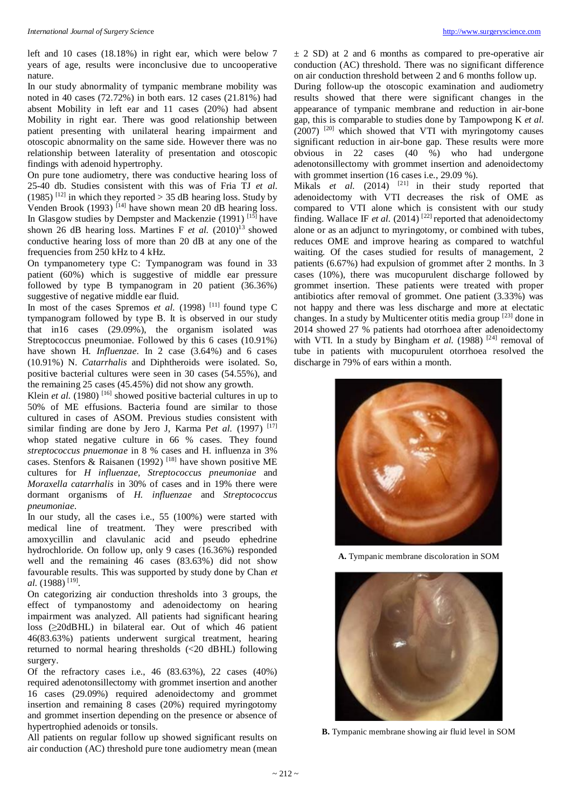left and 10 cases (18.18%) in right ear, which were below 7 years of age, results were inconclusive due to uncooperative nature.

In our study abnormality of tympanic membrane mobility was noted in 40 cases (72.72%) in both ears. 12 cases (21.81%) had absent Mobility in left ear and 11 cases (20%) had absent Mobility in right ear. There was good relationship between patient presenting with unilateral hearing impairment and otoscopic abnormality on the same side. However there was no relationship between laterality of presentation and otoscopic findings with adenoid hypertrophy.

On pure tone audiometry, there was conductive hearing loss of 25-40 db. Studies consistent with this was of Fria TJ *et al.* (1985)<sup>[12]</sup> in which they reported  $>$  35 dB hearing loss. Study by Venden Brook (1993)<sup>[14]</sup> have shown mean 20 dB hearing loss. In Glasgow studies by Dempster and Mackenzie (1991)<sup>[15]</sup> have shown 26 dB hearing loss. Martines F  $et$  al.  $(2010)^{13}$  showed conductive hearing loss of more than 20 dB at any one of the frequencies from 250 kHz to 4 kHz.

On tympanometery type C: Tympanogram was found in 33 patient (60%) which is suggestive of middle ear pressure followed by type B tympanogram in 20 patient (36.36%) suggestive of negative middle ear fluid.

In most of the cases Spremos *et al.* (1998) <sup>[11]</sup> found type C tympanogram followed by type B. It is observed in our study that in16 cases (29.09%), the organism isolated was Streptococcus pneumoniae. Followed by this 6 cases (10.91%) have shown H. *Influenzae*. In 2 case (3.64%) and 6 cases (10.91%) N. *Catarrhalis* and Diphtheroids were isolated. So, positive bacterial cultures were seen in 30 cases (54.55%), and the remaining 25 cases (45.45%) did not show any growth.

Klein *et al.* (1980)<sup>[16]</sup> showed positive bacterial cultures in up to 50% of ME effusions. Bacteria found are similar to those cultured in cases of ASOM. Previous studies consistent with similar finding are done by Jero J, Karma Pet al. (1997)<sup>[17]</sup> whop stated negative culture in 66 % cases. They found *streptococcus pnuemonae* in 8 % cases and H. influenza in 3% cases. Stenfors & Raisanen (1992)<sup>[18]</sup> have shown positive ME cultures for *H influenzae, Streptococcus pneumoniae* and *Moraxella catarrhalis* in 30% of cases and in 19% there were dormant organisms of *H. influenzae* and *Streptococcus pneumoniae*.

In our study, all the cases i.e., 55 (100%) were started with medical line of treatment. They were prescribed with amoxycillin and clavulanic acid and pseudo ephedrine hydrochloride. On follow up, only 9 cases (16.36%) responded well and the remaining 46 cases (83.63%) did not show favourable results. This was supported by study done by Chan *et*  al. (1988) <sup>[19]</sup>.

On categorizing air conduction thresholds into 3 groups, the effect of tympanostomy and adenoidectomy on hearing impairment was analyzed. All patients had significant hearing loss (≥20dBHL) in bilateral ear. Out of which 46 patient 46(83.63%) patients underwent surgical treatment, hearing returned to normal hearing thresholds (<20 dBHL) following surgery.

Of the refractory cases i.e., 46 (83.63%), 22 cases (40%) required adenotonsillectomy with grommet insertion and another 16 cases (29.09%) required adenoidectomy and grommet insertion and remaining 8 cases (20%) required myringotomy and grommet insertion depending on the presence or absence of hypertrophied adenoids or tonsils.

All patients on regular follow up showed significant results on air conduction (AC) threshold pure tone audiometry mean (mean  $\pm$  2 SD) at 2 and 6 months as compared to pre-operative air conduction (AC) threshold. There was no significant difference on air conduction threshold between 2 and 6 months follow up.

During follow-up the otoscopic examination and audiometry results showed that there were significant changes in the appearance of tympanic membrane and reduction in air-bone gap, this is comparable to studies done by Tampowpong K *et al.* (2007) [20] which showed that VTI with myringotomy causes significant reduction in air-bone gap. These results were more obvious in 22 cases (40 %) who had undergone adenotonsillectomy with grommet insertion and adenoidectomy with grommet insertion (16 cases i.e., 29.09 %).

Mikals et al. (2014) <sup>[21]</sup> in their study reported that adenoidectomy with VTI decreases the risk of OME as compared to VTI alone which is consistent with our study finding. Wallace IF *et al.* (2014)<sup>[22]</sup> reported that adenoidectomy alone or as an adjunct to myringotomy, or combined with tubes, reduces OME and improve hearing as compared to watchful waiting. Of the cases studied for results of management, 2 patients (6.67%) had expulsion of grommet after 2 months. In 3 cases (10%), there was mucopurulent discharge followed by grommet insertion. These patients were treated with proper antibiotics after removal of grommet. One patient (3.33%) was not happy and there was less discharge and more at electatic changes. In a study by Multicenter otitis media group<sup>[23]</sup> done in 2014 showed 27 % patients had otorrhoea after adenoidectomy with VTI. In a study by Bingham *et al.* (1988) <sup>[24]</sup> removal of tube in patients with mucopurulent otorrhoea resolved the discharge in 79% of ears within a month.



**A.** Tympanic membrane discoloration in SOM



**B.** Tympanic membrane showing air fluid level in SOM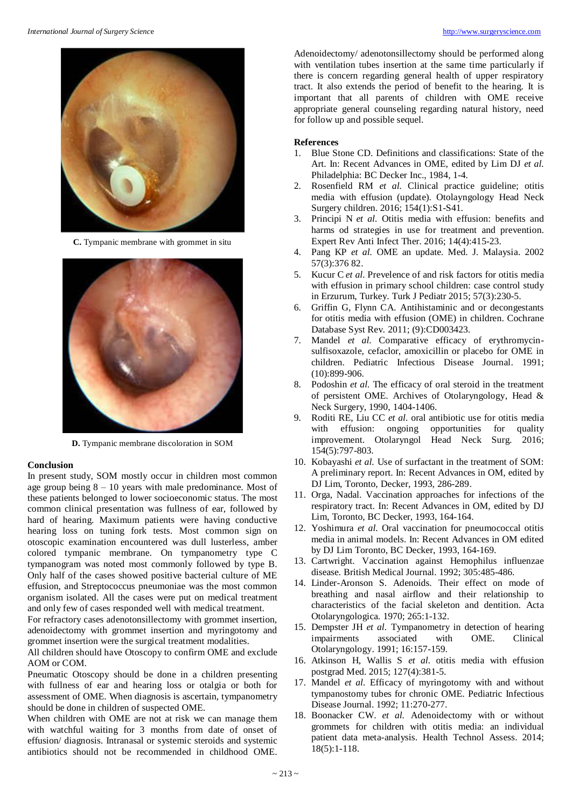

**C.** Tympanic membrane with grommet in situ



**D.** Tympanic membrane discoloration in SOM

## **Conclusion**

In present study, SOM mostly occur in children most common age group being  $8 - 10$  years with male predominance. Most of these patients belonged to lower socioeconomic status. The most common clinical presentation was fullness of ear, followed by hard of hearing. Maximum patients were having conductive hearing loss on tuning fork tests. Most common sign on otoscopic examination encountered was dull lusterless, amber colored tympanic membrane. On tympanometry type C tympanogram was noted most commonly followed by type B. Only half of the cases showed positive bacterial culture of ME effusion, and Streptococcus pneumoniae was the most common organism isolated. All the cases were put on medical treatment and only few of cases responded well with medical treatment.

For refractory cases adenotonsillectomy with grommet insertion, adenoidectomy with grommet insertion and myringotomy and grommet insertion were the surgical treatment modalities.

All children should have Otoscopy to confirm OME and exclude AOM or COM.

Pneumatic Otoscopy should be done in a children presenting with fullness of ear and hearing loss or otalgia or both for assessment of OME. When diagnosis is ascertain, tympanometry should be done in children of suspected OME.

When children with OME are not at risk we can manage them with watchful waiting for 3 months from date of onset of effusion/ diagnosis. Intranasal or systemic steroids and systemic antibiotics should not be recommended in childhood OME.

Adenoidectomy/ adenotonsillectomy should be performed along with ventilation tubes insertion at the same time particularly if there is concern regarding general health of upper respiratory tract. It also extends the period of benefit to the hearing. It is important that all parents of children with OME receive appropriate general counseling regarding natural history, need for follow up and possible sequel.

## **References**

- 1. Blue Stone CD. Definitions and classifications: State of the Art. In: Recent Advances in OME, edited by Lim DJ *et al.* Philadelphia: BC Decker Inc., 1984, 1-4.
- 2. Rosenfield RM *et al.* Clinical practice guideline; otitis media with effusion (update). Otolayngology Head Neck Surgery children. 2016; 154(1):S1-S41.
- 3. Principi N *et al.* Otitis media with effusion: benefits and harms od strategies in use for treatment and prevention. Expert Rev Anti Infect Ther. 2016; 14(4):415-23.
- 4. Pang KP *et al.* OME an update. Med. J. Malaysia. 2002 57(3):376 82.
- 5. Kucur C *et al.* Prevelence of and risk factors for otitis media with effusion in primary school children: case control study in Erzurum, Turkey. Turk J Pediatr 2015; 57(3):230-5.
- 6. Griffin G, Flynn CA. Antihistaminic and or decongestants for otitis media with effusion (OME) in children. Cochrane Database Syst Rev. 2011; (9):CD003423.
- 7. Mandel *et al.* Comparative efficacy of erythromycinsulfisoxazole, cefaclor, amoxicillin or placebo for OME in children. Pediatric Infectious Disease Journal. 1991; (10):899-906.
- 8. Podoshin *et al.* The efficacy of oral steroid in the treatment of persistent OME. Archives of Otolaryngology, Head & Neck Surgery, 1990, 1404-1406.
- 9. Roditi RE, Liu CC *et al.* oral antibiotic use for otitis media with effusion: ongoing opportunities for quality improvement. Otolaryngol Head Neck Surg. 2016; 154(5):797-803.
- 10. Kobayashi *et al.* Use of surfactant in the treatment of SOM: A preliminary report. In: Recent Advances in OM, edited by DJ Lim, Toronto, Decker, 1993, 286-289.
- 11. Orga, Nadal. Vaccination approaches for infections of the respiratory tract. In: Recent Advances in OM, edited by DJ Lim, Toronto, BC Decker, 1993, 164-164.
- 12. Yoshimura *et al.* Oral vaccination for pneumococcal otitis media in animal models. In: Recent Advances in OM edited by DJ Lim Toronto, BC Decker, 1993, 164-169.
- 13. Cartwright. Vaccination against Hemophilus influenzae disease. British Medical Journal. 1992; 305:485-486.
- 14. Linder-Aronson S. Adenoids. Their effect on mode of breathing and nasal airflow and their relationship to characteristics of the facial skeleton and dentition. Acta Otolaryngologica. 1970; 265:1-132.
- 15. Dempster JH *et al.* Tympanometry in detection of hearing impairments associated with OME. Clinical Otolaryngology. 1991; 16:157-159.
- 16. Atkinson H, Wallis S *et al.* otitis media with effusion postgrad Med. 2015; 127(4):381-5.
- 17. Mandel *et al.* Efficacy of myringotomy with and without tympanostomy tubes for chronic OME. Pediatric Infectious Disease Journal. 1992; 11:270-277.
- 18. Boonacker CW. *et al.* Adenoidectomy with or without grommets for children with otitis media: an individual patient data meta-analysis. Health Technol Assess. 2014; 18(5):1-118.